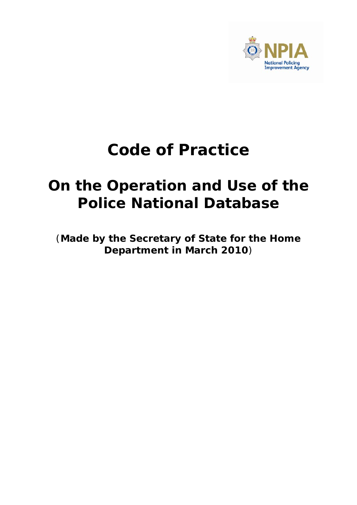

# **Code of Practice**

# **On the Operation and Use of the Police National Database**

(**Made by the Secretary of State for the Home Department in March 2010**)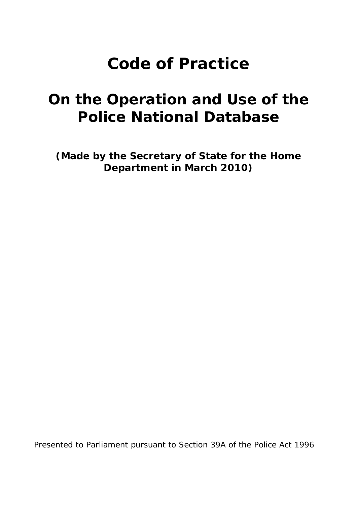# **Code of Practice**

# **On the Operation and Use of the Police National Database**

**(Made by the Secretary of State for the Home Department in March 2010)** 

Presented to Parliament pursuant to Section 39A of the Police Act 1996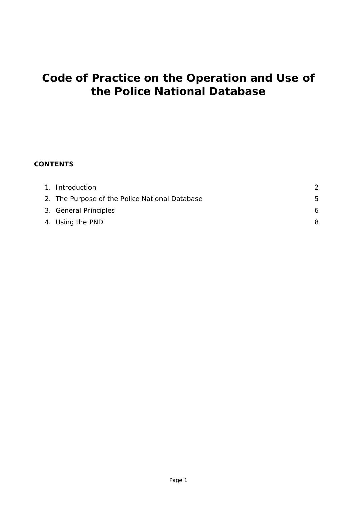## **Code of Practice on the Operation and Use of the Police National Database**

#### **CONTENTS**

| 1. Introduction                                |    |
|------------------------------------------------|----|
| 2. The Purpose of the Police National Database | 5. |
| 3. General Principles                          | 6  |
| 4. Using the PND                               | 8  |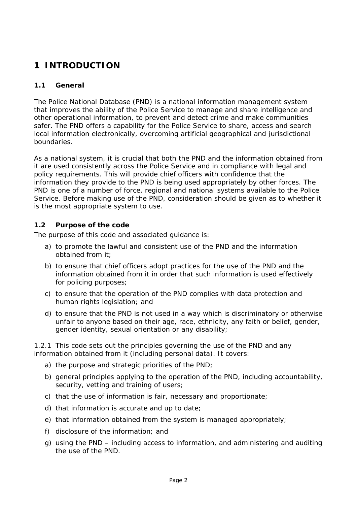### **1 INTRODUCTION**

#### **1.1 General**

The Police National Database (PND) is a national information management system that improves the ability of the Police Service to manage and share intelligence and other operational information, to prevent and detect crime and make communities safer. The PND offers a capability for the Police Service to share, access and search local information electronically, overcoming artificial geographical and jurisdictional boundaries.

As a national system, it is crucial that both the PND and the information obtained from it are used consistently across the Police Service and in compliance with legal and policy requirements. This will provide chief officers with confidence that the information they provide to the PND is being used appropriately by other forces. The PND is one of a number of force, regional and national systems available to the Police Service. Before making use of the PND, consideration should be given as to whether it is the most appropriate system to use.

#### **1.2 Purpose of the code**

The purpose of this code and associated guidance is:

- a) to promote the lawful and consistent use of the PND and the information obtained from it;
- b) to ensure that chief officers adopt practices for the use of the PND and the information obtained from it in order that such information is used effectively for policing purposes;
- c) to ensure that the operation of the PND complies with data protection and human rights legislation; and
- d) to ensure that the PND is not used in a way which is discriminatory or otherwise unfair to anyone based on their age, race, ethnicity, any faith or belief, gender, gender identity, sexual orientation or any disability;

1.2.1 This code sets out the principles governing the use of the PND and any information obtained from it (including personal data). It covers:

- a) the purpose and strategic priorities of the PND;
- b) general principles applying to the operation of the PND, including accountability, security, vetting and training of users;
- c) that the use of information is fair, necessary and proportionate;
- d) that information is accurate and up to date;
- e) that information obtained from the system is managed appropriately;
- f) disclosure of the information; and
- g) using the PND including access to information, and administering and auditing the use of the PND.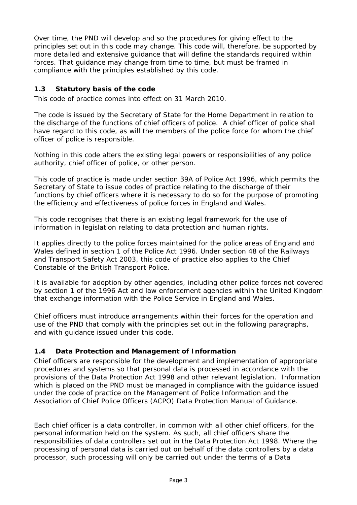Over time, the PND will develop and so the procedures for giving effect to the principles set out in this code may change. This code will, therefore, be supported by more detailed and extensive guidance that will define the standards required within forces. That guidance may change from time to time, but must be framed in compliance with the principles established by this code.

#### **1.3 Statutory basis of the code**

This code of practice comes into effect on 31 March 2010.

The code is issued by the Secretary of State for the Home Department in relation to the discharge of the functions of chief officers of police. A chief officer of police shall have regard to this code, as will the members of the police force for whom the chief officer of police is responsible.

Nothing in this code alters the existing legal powers or responsibilities of any police authority, chief officer of police, or other person.

This code of practice is made under section 39A of Police Act 1996, which permits the Secretary of State to issue codes of practice relating to the discharge of their functions by chief officers where it is necessary to do so for the purpose of promoting the efficiency and effectiveness of police forces in England and Wales.

This code recognises that there is an existing legal framework for the use of information in legislation relating to data protection and human rights.

It applies directly to the police forces maintained for the police areas of England and Wales defined in section 1 of the Police Act 1996. Under section 48 of the Railways and Transport Safety Act 2003, this code of practice also applies to the Chief Constable of the British Transport Police.

It is available for adoption by other agencies, including other police forces not covered by section 1 of the 1996 Act and law enforcement agencies within the United Kingdom that exchange information with the Police Service in England and Wales.

Chief officers must introduce arrangements within their forces for the operation and use of the PND that comply with the principles set out in the following paragraphs, and with guidance issued under this code.

#### **1.4 Data Protection and Management of Information**

Chief officers are responsible for the development and implementation of appropriate procedures and systems so that personal data is processed in accordance with the provisions of the Data Protection Act 1998 and other relevant legislation. Information which is placed on the PND must be managed in compliance with the guidance issued under the code of practice on the Management of Police Information and the Association of Chief Police Officers (ACPO) Data Protection Manual of Guidance.

Each chief officer is a data controller, in common with all other chief officers, for the personal information held on the system. As such, all chief officers share the responsibilities of data controllers set out in the Data Protection Act 1998. Where the processing of personal data is carried out on behalf of the data controllers by a data processor, such processing will only be carried out under the terms of a Data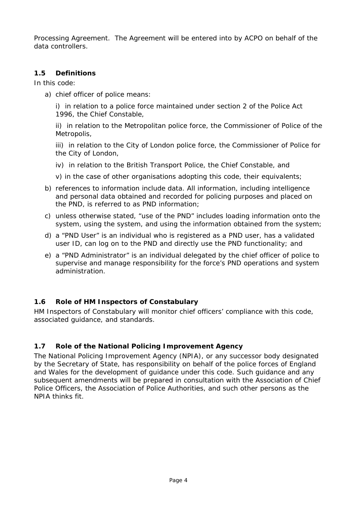Processing Agreement. The Agreement will be entered into by ACPO on behalf of the data controllers.

#### **1.5 Definitions**

In this code:

a) chief officer of police means:

i) in relation to a police force maintained under section 2 of the Police Act 1996, the Chief Constable,

ii) in relation to the Metropolitan police force, the Commissioner of Police of the Metropolis,

iii) in relation to the City of London police force, the Commissioner of Police for the City of London,

- iv) in relation to the British Transport Police, the Chief Constable, and
- v) in the case of other organisations adopting this code, their equivalents;
- b) references to information include data. All information, including intelligence and personal data obtained and recorded for policing purposes and placed on the PND, is referred to as PND information;
- c) unless otherwise stated, "use of the PND" includes loading information onto the system, using the system, and using the information obtained from the system;
- d) a "PND User" is an individual who is registered as a PND user, has a validated user ID, can log on to the PND and directly use the PND functionality; and
- e) a "PND Administrator" is an individual delegated by the chief officer of police to supervise and manage responsibility for the force's PND operations and system administration.

#### **1.6 Role of HM Inspectors of Constabulary**

HM Inspectors of Constabulary will monitor chief officers' compliance with this code, associated guidance, and standards.

#### **1.7 Role of the National Policing Improvement Agency**

The National Policing Improvement Agency (NPIA), or any successor body designated by the Secretary of State, has responsibility on behalf of the police forces of England and Wales for the development of guidance under this code. Such guidance and any subsequent amendments will be prepared in consultation with the Association of Chief Police Officers, the Association of Police Authorities, and such other persons as the NPIA thinks fit.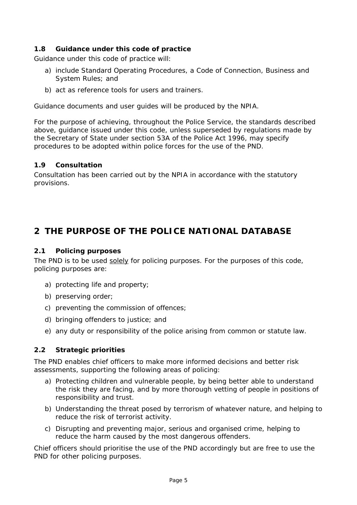#### **1.8 Guidance under this code of practice**

Guidance under this code of practice will:

- a) include Standard Operating Procedures, a Code of Connection, Business and System Rules; and
- b) act as reference tools for users and trainers.

Guidance documents and user guides will be produced by the NPIA.

For the purpose of achieving, throughout the Police Service, the standards described above, guidance issued under this code, unless superseded by regulations made by the Secretary of State under section 53A of the Police Act 1996, may specify procedures to be adopted within police forces for the use of the PND.

#### **1.9 Consultation**

Consultation has been carried out by the NPIA in accordance with the statutory provisions.

### **2 THE PURPOSE OF THE POLICE NATIONAL DATABASE**

#### **2.1 Policing purposes**

The PND is to be used solely for policing purposes. For the purposes of this code, policing purposes are:

- a) protecting life and property;
- b) preserving order;
- c) preventing the commission of offences;
- d) bringing offenders to justice; and
- e) any duty or responsibility of the police arising from common or statute law.

#### **2.2 Strategic priorities**

The PND enables chief officers to make more informed decisions and better risk assessments, supporting the following areas of policing:

- a) Protecting children and vulnerable people, by being better able to understand the risk they are facing, and by more thorough vetting of people in positions of responsibility and trust.
- b) Understanding the threat posed by terrorism of whatever nature, and helping to reduce the risk of terrorist activity.
- c) Disrupting and preventing major, serious and organised crime, helping to reduce the harm caused by the most dangerous offenders.

Chief officers should prioritise the use of the PND accordingly but are free to use the PND for other policing purposes.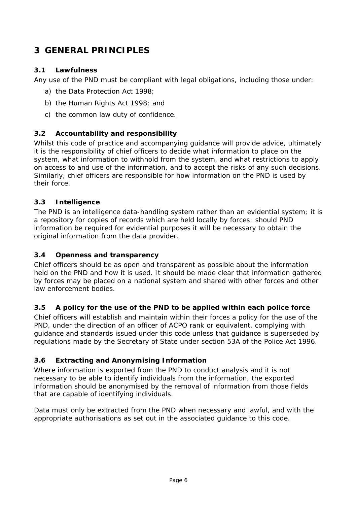### **3 GENERAL PRINCIPLES**

#### **3.1 Lawfulness**

Any use of the PND must be compliant with legal obligations, including those under:

- a) the Data Protection Act 1998;
- b) the Human Rights Act 1998; and
- c) the common law duty of confidence.

#### **3.2 Accountability and responsibility**

Whilst this code of practice and accompanying guidance will provide advice, ultimately it is the responsibility of chief officers to decide what information to place on the system, what information to withhold from the system, and what restrictions to apply on access to and use of the information, and to accept the risks of any such decisions. Similarly, chief officers are responsible for how information on the PND is used by their force.

#### **3.3 Intelligence**

The PND is an intelligence data-handling system rather than an evidential system; it is a repository for copies of records which are held locally by forces: should PND information be required for evidential purposes it will be necessary to obtain the original information from the data provider.

#### **3.4 Openness and transparency**

Chief officers should be as open and transparent as possible about the information held on the PND and how it is used. It should be made clear that information gathered by forces may be placed on a national system and shared with other forces and other law enforcement bodies.

#### **3.5 A policy for the use of the PND to be applied within each police force**

Chief officers will establish and maintain within their forces a policy for the use of the PND, under the direction of an officer of ACPO rank or equivalent, complying with guidance and standards issued under this code unless that guidance is superseded by regulations made by the Secretary of State under section 53A of the Police Act 1996.

#### **3.6 Extracting and Anonymising Information**

Where information is exported from the PND to conduct analysis and it is not necessary to be able to identify individuals from the information, the exported information should be anonymised by the removal of information from those fields that are capable of identifying individuals.

Data must only be extracted from the PND when necessary and lawful, and with the appropriate authorisations as set out in the associated guidance to this code.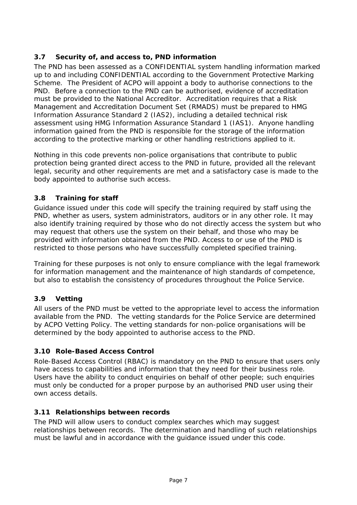#### **3.7 Security of, and access to, PND information**

The PND has been assessed as a CONFIDENTIAL system handling information marked up to and including CONFIDENTIAL according to the Government Protective Marking Scheme. The President of ACPO will appoint a body to authorise connections to the PND. Before a connection to the PND can be authorised, evidence of accreditation must be provided to the National Accreditor. Accreditation requires that a Risk Management and Accreditation Document Set (RMADS) must be prepared to HMG Information Assurance Standard 2 (IAS2), including a detailed technical risk assessment using HMG Information Assurance Standard 1 (IAS1). Anyone handling information gained from the PND is responsible for the storage of the information according to the protective marking or other handling restrictions applied to it.

Nothing in this code prevents non-police organisations that contribute to public protection being granted direct access to the PND in future, provided all the relevant legal, security and other requirements are met and a satisfactory case is made to the body appointed to authorise such access.

#### **3.8 Training for staff**

Guidance issued under this code will specify the training required by staff using the PND, whether as users, system administrators, auditors or in any other role. It may also identify training required by those who do not directly access the system but who may request that others use the system on their behalf, and those who may be provided with information obtained from the PND. Access to or use of the PND is restricted to those persons who have successfully completed specified training.

Training for these purposes is not only to ensure compliance with the legal framework for information management and the maintenance of high standards of competence, but also to establish the consistency of procedures throughout the Police Service.

#### **3.9 Vetting**

All users of the PND must be vetted to the appropriate level to access the information available from the PND. The vetting standards for the Police Service are determined by ACPO Vetting Policy. The vetting standards for non-police organisations will be determined by the body appointed to authorise access to the PND.

#### **3.10 Role-Based Access Control**

Role-Based Access Control (RBAC) is mandatory on the PND to ensure that users only have access to capabilities and information that they need for their business role. Users have the ability to conduct enquiries on behalf of other people; such enquiries must only be conducted for a proper purpose by an authorised PND user using their own access details.

#### **3.11 Relationships between records**

The PND will allow users to conduct complex searches which may suggest relationships between records. The determination and handling of such relationships must be lawful and in accordance with the guidance issued under this code.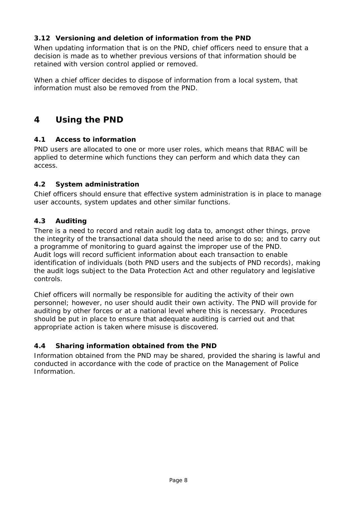#### **3.12 Versioning and deletion of information from the PND**

When updating information that is on the PND, chief officers need to ensure that a decision is made as to whether previous versions of that information should be retained with version control applied or removed.

When a chief officer decides to dispose of information from a local system, that information must also be removed from the PND.

### **4 Using the PND**

#### **4.1 Access to information**

PND users are allocated to one or more user roles, which means that RBAC will be applied to determine which functions they can perform and which data they can access.

#### **4.2 System administration**

Chief officers should ensure that effective system administration is in place to manage user accounts, system updates and other similar functions.

#### **4.3 Auditing**

There is a need to record and retain audit log data to, amongst other things, prove the integrity of the transactional data should the need arise to do so; and to carry out a programme of monitoring to guard against the improper use of the PND. Audit logs will record sufficient information about each transaction to enable identification of individuals (both PND users and the subjects of PND records), making the audit logs subject to the Data Protection Act and other regulatory and legislative controls.

Chief officers will normally be responsible for auditing the activity of their own personnel; however, no user should audit their own activity. The PND will provide for auditing by other forces or at a national level where this is necessary. Procedures should be put in place to ensure that adequate auditing is carried out and that appropriate action is taken where misuse is discovered.

#### **4.4 Sharing information obtained from the PND**

Information obtained from the PND may be shared, provided the sharing is lawful and conducted in accordance with the code of practice on the Management of Police Information.